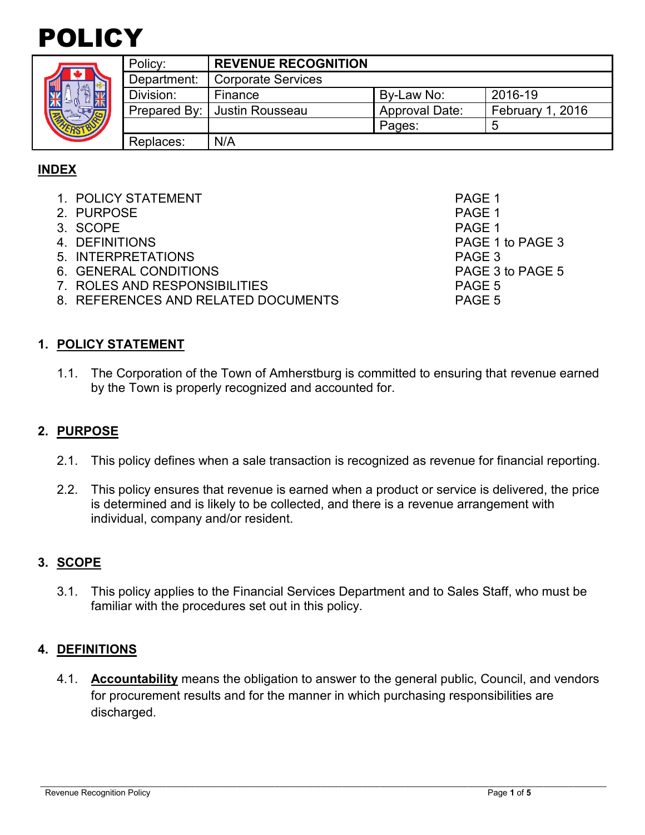

|  | Policy:      | <b>REVENUE RECOGNITION</b> |                       |                  |
|--|--------------|----------------------------|-----------------------|------------------|
|  | Department:  | <b>Corporate Services</b>  |                       |                  |
|  | Division:    | Finance                    | By-Law No:            | 2016-19          |
|  | Prepared By: | Justin Rousseau            | <b>Approval Date:</b> | February 1, 2016 |
|  |              |                            | Pages:                |                  |
|  | Replaces:    | N/A                        |                       |                  |

# **INDEX**

- 1. POLICY STATEMENT PAGE 1
- 2. PURPOSE And the set of the set of the set of the set of the set of the set of the set of the set of the set of the set of the set of the set of the set of the set of the set of the set of the set of the set of the set o
- 3. SCOPE PAGE 1
- 4. DEFINITIONS PAGE 1 to PAGE 3
- 5. INTERPRETATIONS PAGE 3
- 6. GENERAL CONDITIONS PAGE 3 to PAGE 5
- 7. ROLES AND RESPONSIBILITIES PAGE 5
- 8. REFERENCES AND RELATED DOCUMENTS PAGE 5

**1. POLICY STATEMENT**

1.1. The Corporation of the Town of Amherstburg is committed to ensuring that revenue earned by the Town is properly recognized and accounted for.

## **2. PURPOSE**

- 2.1. This policy defines when a sale transaction is recognized as revenue for financial reporting.
- 2.2. This policy ensures that revenue is earned when a product or service is delivered, the price is determined and is likely to be collected, and there is a revenue arrangement with individual, company and/or resident.

## **3. SCOPE**

3.1. This policy applies to the Financial Services Department and to Sales Staff, who must be familiar with the procedures set out in this policy.

### **4. DEFINITIONS**

4.1. **Accountability** means the obligation to answer to the general public, Council, and vendors for procurement results and for the manner in which purchasing responsibilities are discharged.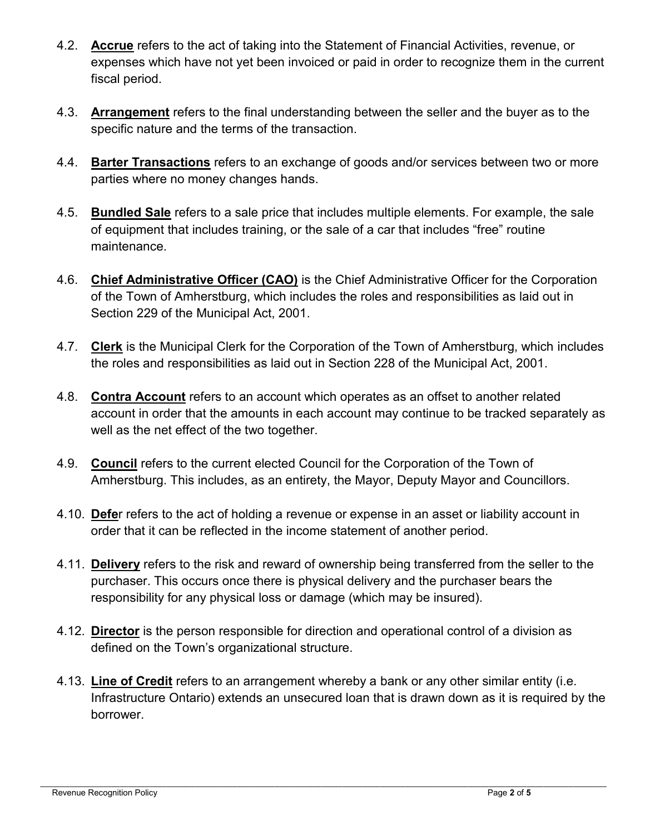- 4.2. **Accrue** refers to the act of taking into the Statement of Financial Activities, revenue, or expenses which have not yet been invoiced or paid in order to recognize them in the current fiscal period.
- 4.3. **Arrangement** refers to the final understanding between the seller and the buyer as to the specific nature and the terms of the transaction.
- 4.4. **Barter Transactions** refers to an exchange of goods and/or services between two or more parties where no money changes hands.
- 4.5. **Bundled Sale** refers to a sale price that includes multiple elements. For example, the sale of equipment that includes training, or the sale of a car that includes "free" routine maintenance.
- 4.6. **Chief Administrative Officer (CAO)** is the Chief Administrative Officer for the Corporation of the Town of Amherstburg, which includes the roles and responsibilities as laid out in Section 229 of the Municipal Act, 2001.
- 4.7. **Clerk** is the Municipal Clerk for the Corporation of the Town of Amherstburg, which includes the roles and responsibilities as laid out in Section 228 of the Municipal Act, 2001.
- 4.8. **Contra Account** refers to an account which operates as an offset to another related account in order that the amounts in each account may continue to be tracked separately as well as the net effect of the two together.
- 4.9. **Council** refers to the current elected Council for the Corporation of the Town of Amherstburg. This includes, as an entirety, the Mayor, Deputy Mayor and Councillors.
- 4.10. **Defe**r refers to the act of holding a revenue or expense in an asset or liability account in order that it can be reflected in the income statement of another period.
- 4.11. **Delivery** refers to the risk and reward of ownership being transferred from the seller to the purchaser. This occurs once there is physical delivery and the purchaser bears the responsibility for any physical loss or damage (which may be insured).
- 4.12. **Director** is the person responsible for direction and operational control of a division as defined on the Town's organizational structure.
- 4.13. **Line of Credit** refers to an arrangement whereby a bank or any other similar entity (i.e. Infrastructure Ontario) extends an unsecured loan that is drawn down as it is required by the borrower.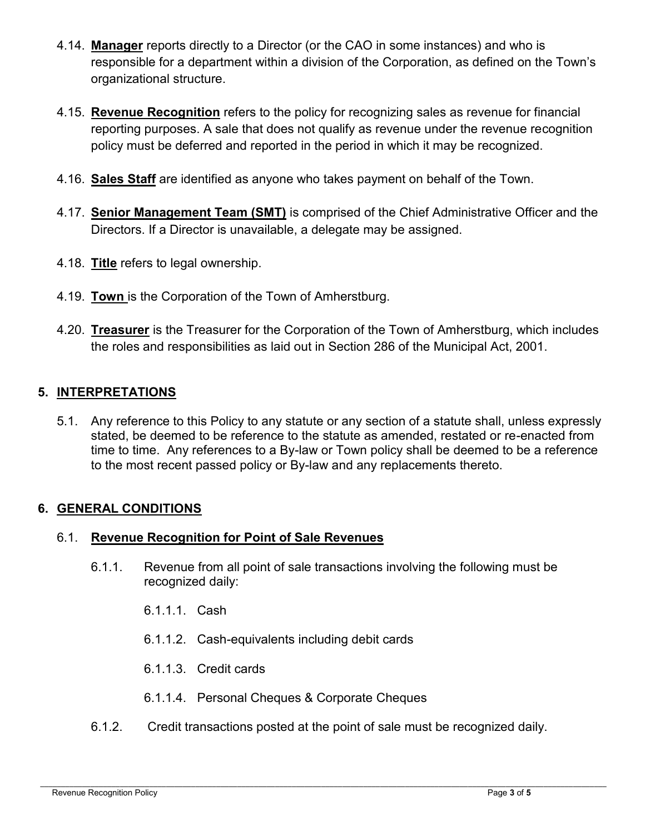- 4.14. **Manager** reports directly to a Director (or the CAO in some instances) and who is responsible for a department within a division of the Corporation, as defined on the Town's organizational structure.
- 4.15. **Revenue Recognition** refers to the policy for recognizing sales as revenue for financial reporting purposes. A sale that does not qualify as revenue under the revenue recognition policy must be deferred and reported in the period in which it may be recognized.
- 4.16. **Sales Staff** are identified as anyone who takes payment on behalf of the Town.
- 4.17. **Senior Management Team (SMT)** is comprised of the Chief Administrative Officer and the Directors. If a Director is unavailable, a delegate may be assigned.
- 4.18. **Title** refers to legal ownership.
- 4.19. **Town** is the Corporation of the Town of Amherstburg.
- 4.20. **Treasurer** is the Treasurer for the Corporation of the Town of Amherstburg, which includes the roles and responsibilities as laid out in Section 286 of the Municipal Act, 2001.

### **5. INTERPRETATIONS**

5.1. Any reference to this Policy to any statute or any section of a statute shall, unless expressly stated, be deemed to be reference to the statute as amended, restated or re-enacted from time to time. Any references to a By-law or Town policy shall be deemed to be a reference to the most recent passed policy or By-law and any replacements thereto.

### **6. GENERAL CONDITIONS**

### 6.1. **Revenue Recognition for Point of Sale Revenues**

- 6.1.1. Revenue from all point of sale transactions involving the following must be recognized daily:
	- 6.1.1.1. Cash
	- 6.1.1.2. Cash-equivalents including debit cards
	- 6.1.1.3. Credit cards
	- 6.1.1.4. Personal Cheques & Corporate Cheques
- 6.1.2. Credit transactions posted at the point of sale must be recognized daily.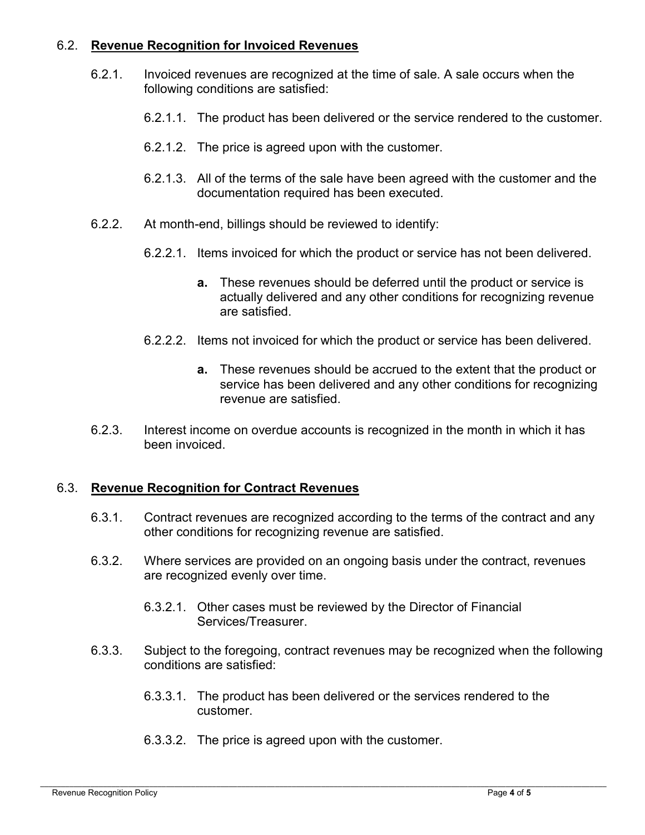## 6.2. **Revenue Recognition for Invoiced Revenues**

- 6.2.1. Invoiced revenues are recognized at the time of sale. A sale occurs when the following conditions are satisfied:
	- 6.2.1.1. The product has been delivered or the service rendered to the customer.
	- 6.2.1.2. The price is agreed upon with the customer.
	- 6.2.1.3. All of the terms of the sale have been agreed with the customer and the documentation required has been executed.
- 6.2.2. At month-end, billings should be reviewed to identify:
	- 6.2.2.1. Items invoiced for which the product or service has not been delivered.
		- **a.** These revenues should be deferred until the product or service is actually delivered and any other conditions for recognizing revenue are satisfied.
	- 6.2.2.2. Items not invoiced for which the product or service has been delivered.
		- **a.** These revenues should be accrued to the extent that the product or service has been delivered and any other conditions for recognizing revenue are satisfied.
- 6.2.3. Interest income on overdue accounts is recognized in the month in which it has been invoiced.

### 6.3. **Revenue Recognition for Contract Revenues**

- 6.3.1. Contract revenues are recognized according to the terms of the contract and any other conditions for recognizing revenue are satisfied.
- 6.3.2. Where services are provided on an ongoing basis under the contract, revenues are recognized evenly over time.
	- 6.3.2.1. Other cases must be reviewed by the Director of Financial Services/Treasurer.
- 6.3.3. Subject to the foregoing, contract revenues may be recognized when the following conditions are satisfied:
	- 6.3.3.1. The product has been delivered or the services rendered to the customer.
	- 6.3.3.2. The price is agreed upon with the customer.